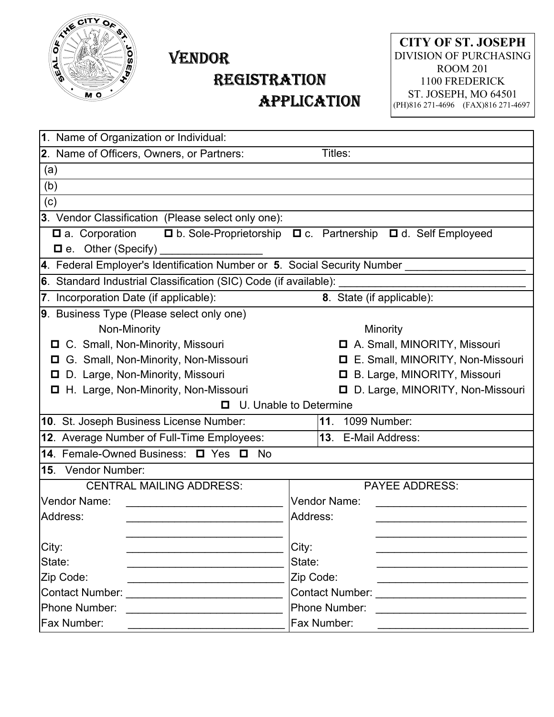

## VENDOR

## REGISTRATION APPLICATION

**CITY OF ST. JOSEPH** DIVISION OF PURCHASING ROOM 201 1100 FREDERICK ST. JOSEPH, MO 64501 (PH)816 271-4696 (FAX)816 271-4697

| 1. Name of Organization or Individual:                                         |                                                               |  |  |  |  |  |  |  |  |  |
|--------------------------------------------------------------------------------|---------------------------------------------------------------|--|--|--|--|--|--|--|--|--|
| 2. Name of Officers, Owners, or Partners:                                      | Titles:                                                       |  |  |  |  |  |  |  |  |  |
| (a)                                                                            |                                                               |  |  |  |  |  |  |  |  |  |
| (b)                                                                            |                                                               |  |  |  |  |  |  |  |  |  |
| (c)                                                                            |                                                               |  |  |  |  |  |  |  |  |  |
| 3. Vendor Classification (Please select only one):                             |                                                               |  |  |  |  |  |  |  |  |  |
| <b><math>\Box</math></b> a. Corporation<br>$\blacksquare$ e. Other (Specify) _ | □ b. Sole-Proprietorship □ c. Partnership □ d. Self Employeed |  |  |  |  |  |  |  |  |  |
| 4. Federal Employer's Identification Number or 5. Social Security Number _____ |                                                               |  |  |  |  |  |  |  |  |  |
| 6. Standard Industrial Classification (SIC) Code (if available):               |                                                               |  |  |  |  |  |  |  |  |  |
| 7. Incorporation Date (if applicable):                                         | 8. State (if applicable):                                     |  |  |  |  |  |  |  |  |  |
| 9. Business Type (Please select only one)                                      |                                                               |  |  |  |  |  |  |  |  |  |
| Non-Minority                                                                   | Minority                                                      |  |  |  |  |  |  |  |  |  |
| □ C. Small, Non-Minority, Missouri                                             | A. Small, MINORITY, Missouri                                  |  |  |  |  |  |  |  |  |  |
| □ G. Small, Non-Minority, Non-Missouri                                         | E. Small, MINORITY, Non-Missouri                              |  |  |  |  |  |  |  |  |  |
| D. Large, Non-Minority, Missouri                                               | <b>D</b> B. Large, MINORITY, Missouri                         |  |  |  |  |  |  |  |  |  |
| H. Large, Non-Minority, Non-Missouri                                           | D. Large, MINORITY, Non-Missouri                              |  |  |  |  |  |  |  |  |  |
| U. Unable to Determine<br>0                                                    |                                                               |  |  |  |  |  |  |  |  |  |
| 10. St. Joseph Business License Number:                                        | 11 <sub>1</sub><br>1099 Number:                               |  |  |  |  |  |  |  |  |  |
| 12. Average Number of Full-Time Employees:                                     | 13. E-Mail Address:                                           |  |  |  |  |  |  |  |  |  |
| 14. Female-Owned Business: 0 Yes 0<br><b>No</b>                                |                                                               |  |  |  |  |  |  |  |  |  |
| <b>15.</b> Vendor Number:                                                      |                                                               |  |  |  |  |  |  |  |  |  |
| <b>CENTRAL MAILING ADDRESS:</b>                                                | <b>PAYEE ADDRESS:</b>                                         |  |  |  |  |  |  |  |  |  |
| Vendor Name:                                                                   | Vendor Name:                                                  |  |  |  |  |  |  |  |  |  |
| Address:                                                                       | Address:                                                      |  |  |  |  |  |  |  |  |  |
|                                                                                |                                                               |  |  |  |  |  |  |  |  |  |
| City:                                                                          | City:                                                         |  |  |  |  |  |  |  |  |  |
| State:                                                                         | State:                                                        |  |  |  |  |  |  |  |  |  |
| Zip Code:                                                                      | Zip Code:                                                     |  |  |  |  |  |  |  |  |  |
| Contact Number: _____________________                                          | <b>Contact Number:</b>                                        |  |  |  |  |  |  |  |  |  |
| Phone Number:                                                                  | Phone Number:                                                 |  |  |  |  |  |  |  |  |  |
| <b>Fax Number:</b>                                                             | Fax Number:                                                   |  |  |  |  |  |  |  |  |  |